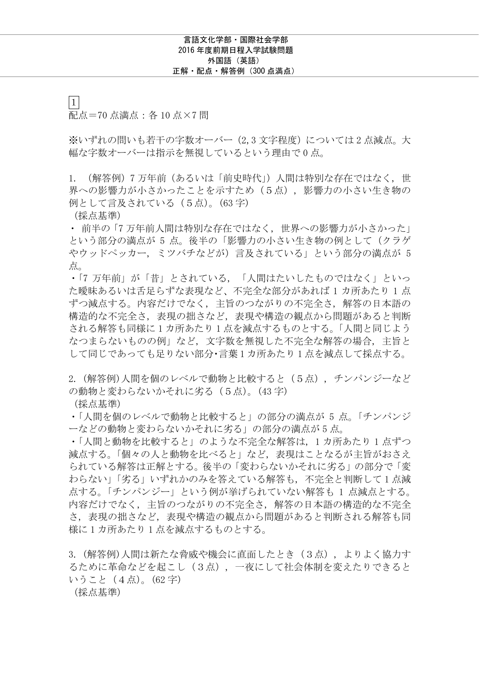$\boxed{1}$ 配点=70 点満点:各 10 点×7 問

※いずれの問いも若干の字数オーバー(2,3 文字程度)については 2 点減点。大 幅な字数オーバーは指示を無視しているという理由で 0 点。

1. (解答例)7 万年前(あるいは「前史時代」)人間は特別な存在ではなく, 世 界への影響力が小さかったことを示すため(5点), 影響力の小さい生き物の 例として言及されている (5点)。(63字)

(採点基準)

・ 前半の「7 万年前人間は特別な存在ではなく, 世界への影響力が小さかった」 という部分の満点が 5 点。後半の「影響力の小さい生き物の例として(クラゲ やウッドペッカー, ミツバチなどが)言及されている」という部分の満点が 5 点。

・「7 万年前」が「昔」とされている, 「人間はたいしたものではなく」といっ た曖昧あるいは舌足らずな表現など、不完全な部分があれば 1 カ所あたり 1 点 ずつ減点する。内容だけでなく, 主旨のつながりの不完全さ, 解答の日本語の 構造的な不完全さ, 表現の拙さなど, 表現や構造の観点から問題があると判断 される解答も同様に 1 カ所あたり 1 点を減点するものとする。「人間と同じよう なつまらないものの例」など, 文字数を無視した不完全な解答の場合, 主旨と して同じであっても足りない部分・言葉 1 カ所あたり 1 点を減点して採点する。

2. (解答例)人間を個のレベルで動物と比較すると(5点)、チンパンジーなど の動物と変わらないかそれに劣る(5点)。(43字)

(採点基準)

・「人間を個のレベルで動物と比較すると」の部分の満点が 5 点。「チンパンジ ーなどの動物と変わらないかそれに劣る」の部分の満点が 5 点。

・「人間と動物を比較すると」のような不完全な解答は, 1 カ所あたり 1 点ずつ 減点する。「個々の人と動物を比べると」など, 表現はことなるが主旨がおさえ られている解答は正解とする。後半の「変わらないかそれに劣る」の部分で「変 わらない」「劣る」いずれかのみを答えている解答も, 不完全と判断して 1 点減 点する。「チンパンジー」という例が挙げられていない解答も 1 点減点とする。 内容だけでなく, 主旨のつながりの不完全さ, 解答の日本語の構造的な不完全 さ, 表現の拙さなど, 表現や構造の観点から問題があると判断される解答も同 様に 1 カ所あたり 1 点を減点するものとする。

3. (解答例)人間は新たな脅威や機会に直面したとき(3点), よりよく協力す るために革命などを起こし(3点), 一夜にして社会体制を変えたりできると いうこと(4点)。(62 字)

(採点基準)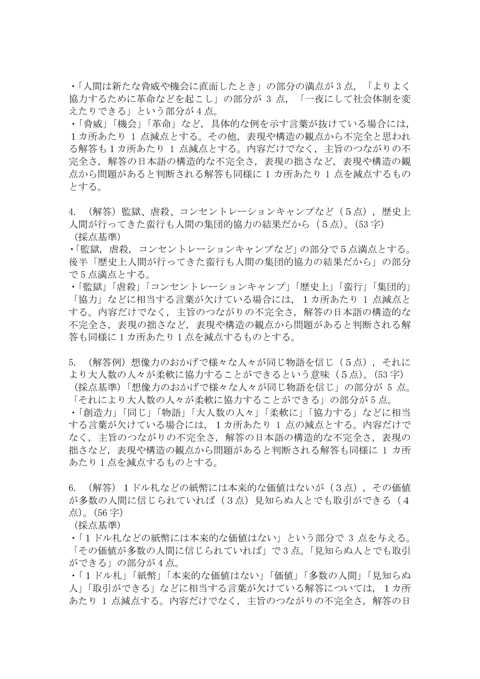・「人間は新たな脅威や機会に直面したとき」の部分の満点が 3 点, 「よりよく 協力するために革命などを起こし」の部分が 3 点, 「一夜にして社会体制を変 えたりできる」という部分が 4 点。

・「脅威」「機会」「革命」など, 具体的な例を示す言葉が抜けている場合には, 1カ所あたり 1 点減点とする。その他, 表現や構造の観点から不完全と思われ る解答も1カ所あたり 1 点減点とする。内容だけでなく, 主旨のつながりの不 完全さ, 解答の日本語の構造的な不完全さ, 表現の拙さなど, 表現や構造の観 点から問題があると判断される解答も同様に 1 カ所あたり 1 点を減点するもの とする。

- 4. (解答)監獄、虐殺、コンセントレーションキャンプなど(5点), 歴史上 人間が行ってきた蛮行も人間の集団的協力の結果だから(5点)。(53字) (採点基準)
- ・「監獄, 虐殺, コンセントレーションキャンプなど」の部分で5点満点とする。 後半「歴史上人間が行ってきた蛮行も人間の集団的協力の結果だから」の部分 で 5 点満点とする。

・「監獄」「虐殺」「コンセントレーションキャンプ」「歴史上」「蛮行」「集団的」 「協力」などに相当する言葉が欠けている場合には、1カ所あたり 1 点減点と する。内容だけでなく, 主旨のつながりの不完全さ, 解答の日本語の構造的な 不完全さ, 表現の拙さなど, 表現や構造の観点から問題があると判断される解 答も同様に 1 カ所あたり 1 点を減点するものとする。

5. (解答例)想像力のおかげで様々な人々が同じ物語を信じ(5点), それに より大人数の人々が柔軟に協力することができるという意味(5点)。(53字)

(採点基準)「想像力のおかげで様々な人々が同じ物語を信じ」の部分が 5 点。 「それにより大人数の人々が柔軟に協力することができる」の部分が 5 点。

・「創造力」「同じ」「物語」「大人数の人々」「柔軟に」「協力する」などに相当 する言葉が欠けている場合には, 1カ所あたり 1 点の減点とする。内容だけで なく, 主旨のつながりの不完全さ, 解答の日本語の構造的な不完全さ, 表現の 拙さなど, 表現や構造の観点から問題があると判断される解答も同様に 1 カ所 あたり 1 点を減点するものとする。

6. (解答)1ドル札などの紙幣には本来的な価値はないが(3点), その価値 が多数の人間に信じられていれば(3点)見知らぬ人とでも取引ができる(4 点)。(56 字)

(採点基準)

・「1ドル札などの紙幣には本来的な価値はない」という部分で 3 点を与える。 「その価値が多数の人間に信じられていれば」で 3 点。「見知らぬ人とでも取引 ができる」の部分が 4 点。

・「1ドル札」「紙幣」「本来的な価値はない」「価値」「多数の人間」「見知らぬ 人」「取引ができる」などに相当する言葉が欠けている解答については, 1カ所 あたり 1 点減点する。内容だけでなく, 主旨のつながりの不完全さ, 解答の日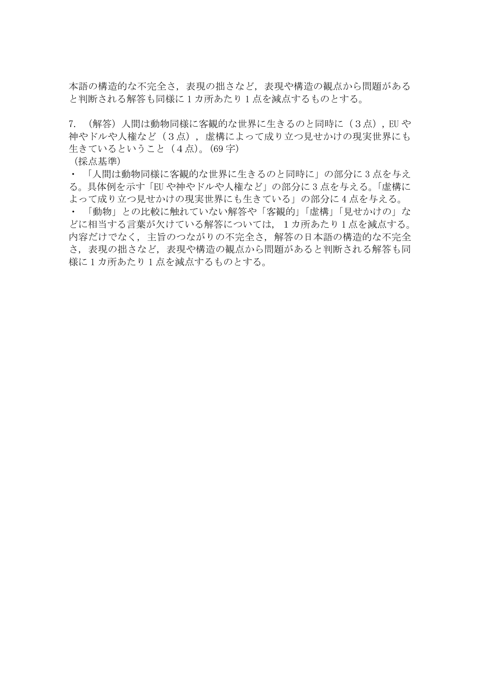本語の構造的な不完全さ, 表現の拙さなど, 表現や構造の観点から問題がある と判断される解答も同様に 1 カ所あたり 1 点を減点するものとする。

7. (解答)人間は動物同様に客観的な世界に生きるのと同時に(3点), EU や 神やドルや人権など(3点), 虚構によって成り立つ見せかけの現実世界にも 生きているということ (4点)。(69字)

(採点基準)

・ 「人間は動物同様に客観的な世界に生きるのと同時に」の部分に 3 点を与え る。具体例を示す「EU や神やドルや人権など」の部分に 3 点を与える。「虚構に よって成り立つ見せかけの現実世界にも生きている」の部分に 4 点を与える。

・ 「動物」との比較に触れていない解答や「客観的」「虚構」「見せかけの」な どに相当する言葉が欠けている解答については, 1カ所あたり 1 点を減点する。 内容だけでなく, 主旨のつながりの不完全さ, 解答の日本語の構造的な不完全 さ, 表現の拙さなど, 表現や構造の観点から問題があると判断される解答も同 様に 1 カ所あたり 1 点を減点するものとする。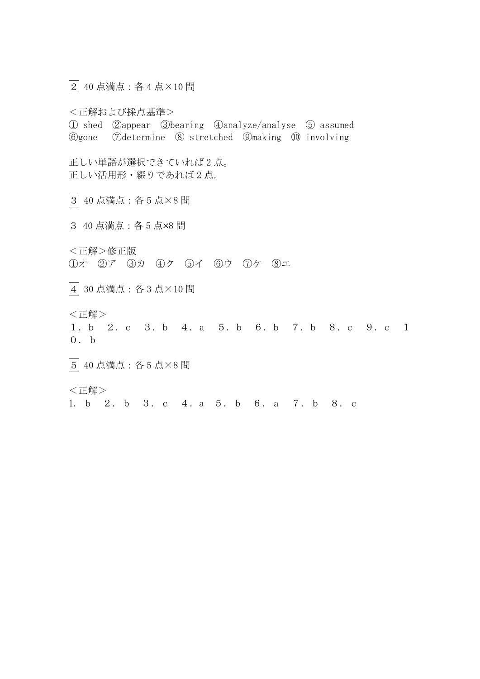2 40 点満点:各 4 点×10 問

<正解および採点基準> ① shed ②appear ③bearing ④analyze/analyse ⑤ assumed ⑥gone ⑦determine ⑧ stretched ⑨making ⑩ involving 正しい単語が選択できていれば 2 点。 正しい活用形・綴りであれば 2 点。

3 40 点満点:各 5 点×8 問

3 40 点満点:各 5 点×8 問

<正解>修正版 ①オ ②ア ③カ ④ク ⑤イ ⑥ウ ⑦ケ ⑧エ

4 30 点満点:各 3 点×10 問

<正解>

1.b 2.c 3.b 4.a 5.b 6.b 7.b 8.c 9.c 1 0.b

5 40 点満点:各 5 点×8 問

<正解>

1. b 2.b 3.c 4.a 5.b 6.a 7.b 8.c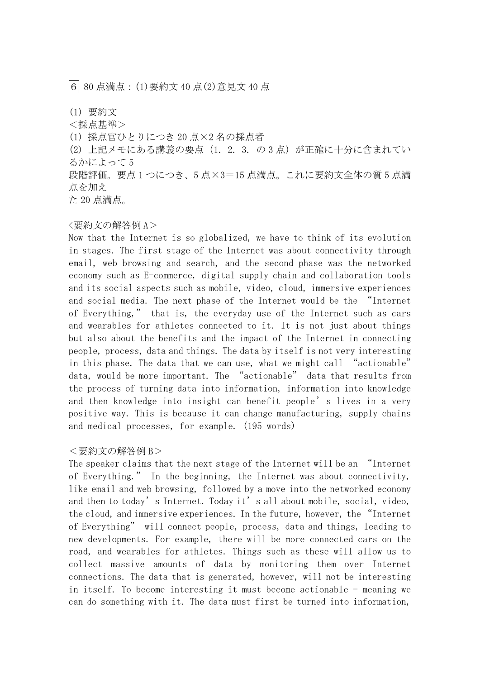6 80 点満点:(1)要約文 40 点(2)意見文 40 点

(1) 要約文

<採点基準>

(1) 採点官ひとりにつき 20 点×2 名の採点者

(2) 上記メモにある講義の要点 (1. 2. 3. の 3 点) が正確に十分に含まれてい るかによって 5

段階評価。要点 1 つにつき、5 点×3=15 点満点。これに要約文全体の質 5 点満 点を加え

た 20 点満点。

## <要約文の解答例 A>

Now that the Internet is so globalized, we have to think of its evolution in stages. The first stage of the Internet was about connectivity through email, web browsing and search, and the second phase was the networked economy such as E-commerce, digital supply chain and collaboration tools and its social aspects such as mobile, video, cloud, immersive experiences and social media. The next phase of the Internet would be the "Internet of Everything," that is, the everyday use of the Internet such as cars and wearables for athletes connected to it. It is not just about things but also about the benefits and the impact of the Internet in connecting people, process, data and things. The data by itself is not very interesting in this phase. The data that we can use, what we might call "actionable" data, would be more important. The "actionable" data that results from the process of turning data into information, information into knowledge and then knowledge into insight can benefit people's lives in a very positive way. This is because it can change manufacturing, supply chains and medical processes, for example. (195 words)

## <要約文の解答例 B>

The speaker claims that the next stage of the Internet will be an "Internet of Everything." In the beginning, the Internet was about connectivity, like email and web browsing, followed by a move into the networked economy and then to today's Internet. Today it's all about mobile, social, video, the cloud, and immersive experiences. In the future, however, the "Internet of Everything" will connect people, process, data and things, leading to new developments. For example, there will be more connected cars on the road, and wearables for athletes. Things such as these will allow us to collect massive amounts of data by monitoring them over Internet connections. The data that is generated, however, will not be interesting in itself. To become interesting it must become actionable - meaning we can do something with it. The data must first be turned into information,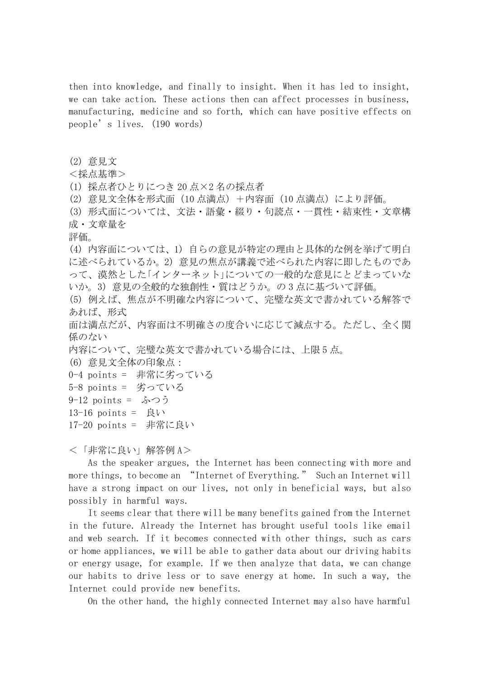then into knowledge, and finally to insight. When it has led to insight, we can take action. These actions then can affect processes in business, manufacturing, medicine and so forth, which can have positive effects on people's lives. (190 words)

(2) 意見文

<採点基準>

(1) 採点者ひとりにつき 20 点×2 名の採点者

(2) 意見文全体を形式面(10 点満点)+内容面(10 点満点)により評価。

(3) 形式面については、文法・語彙・綴り・句読点・一貫性・結束性・文章構 成・文章量を

評価。

(4) 内容面については、1) 自らの意見が特定の理由と具体的な例を挙げて明白 に述べられているか。2) 意見の焦点が講義で述べられた内容に即したものであ って、漠然とした「インターネット」についての一般的な意見にとどまっていな いか。3) 意見の全般的な独創性・質はどうか。の 3 点に基づいて評価。

(5) 例えば、焦点が不明確な内容について、完璧な英文で書かれている解答で あれば、形式

面は満点だが、内容面は不明確さの度合いに応じて減点する。ただし、全く関 係のない

内容について、完璧な英文で書かれている場合には、上限 5 点。

(6) 意見文全体の印象点:

```
0-4 points = 非常に劣っている
```

```
5-8 points = 劣っている
```
9-12 points = ふつう

 $13-16$  points = 良い

17-20 points = 非常に良い

<「非常に良い」解答例 A>

 As the speaker argues, the Internet has been connecting with more and more things, to become an "Internet of Everything." Such an Internet will have a strong impact on our lives, not only in beneficial ways, but also possibly in harmful ways.

 It seems clear that there will be many benefits gained from the Internet in the future. Already the Internet has brought useful tools like email and web search. If it becomes connected with other things, such as cars or home appliances, we will be able to gather data about our driving habits or energy usage, for example. If we then analyze that data, we can change our habits to drive less or to save energy at home. In such a way, the Internet could provide new benefits.

On the other hand, the highly connected Internet may also have harmful